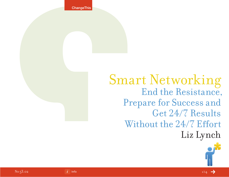**ChangeThis** 

Smart Networking End the Resistance, Prepare for Success and Get 24/7 Results Without the 24/7 Effort Liz Lynch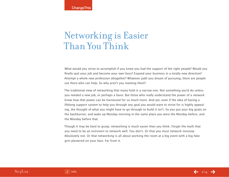# Networking is Easier Than You Think

What would you strive to accomplish if you knew you had the support of the right people? Would you finally quit your job and become your own boss? Expand your business in a totally new direction? Attempt a whole new profession altogether? Whatever path you dream of pursuing, there are people out there who can help. So why aren't you meeting them?

The traditional view of networking that many hold is a narrow one. Not something you'd do unless you needed a new job, or perhaps a favor. But those who really understand the power of a network know how that power can be harnessed for so much more. And yet, even if the idea of having a lifelong support system to help you through any goal you would want to strive for is highly appealing, the thought of what you might have to go through to build it isn't. So you put your big goals on the backburner, and wake up Monday morning in the same place you were the Monday before, and the Monday before that.

Though it may be hard to grasp, networking is much easier than you think. Forget the myth that you need to be an extrovert to network well. You don't. Or that you must network nonstop. Absolutely not. Or that networking is all about working the room at a big event with a big fake grin plastered on your face. Far from it.

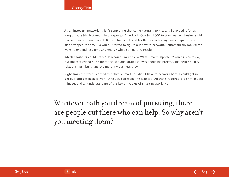As an introvert, networking isn't something that came naturally to me, and I avoided it for as long as possible. Not until I left corporate America in October 2000 to start my own business did I have to learn to embrace it. But as chief, cook and bottle washer for my new company, I was also strapped for time. So when I started to figure out how to network, I automatically looked for ways to expend less time and energy while still getting results.

Which shortcuts could I take? How could I multi-task? What's most important? What's nice to do, but not that critical? The more focused and strategic I was about the process, the better quality relationships I built, and the more my business grew.

Right from the start I learned to network smart so I didn't have to network hard. I could get in, get out, and get back to work. And you can make the leap too. All that's required is a shift in your mindset and an understanding of the key principles of smart networking.

Whatever path you dream of pursuing, there are people out there who can help. So why aren't you meeting them?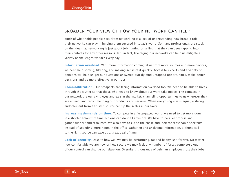### Broaden Your View of How Your Network Can Help

Much of what holds people back from networking is a lack of understanding how broad a role their networks can play in helping them succeed in today's world. So many professionals are stuck on the idea that networking is just about job hunting or selling that they can't see tapping into their contacts for any other reasons. But, in fact, leveraging our networks can help us mitigate a variety of challenges we face every day:

**Information overload.** With more information coming at us from more sources and more devices, we need help sorting, filtering, and making sense of it quickly. Access to experts and a variety of opinions will help us get our questions answered quickly, find untapped opportunities, make better decisions and be more effective in our jobs.

**Commoditization.** Our prospects are facing information overload too. We need to be able to break through the clutter so that those who need to know about our work take notice. The contacts in our network are our extra eyes and ears in the market, channeling opportunities to us wherever they see a need, and recommending our products and services. When everything else is equal, a strong endorsement from a trusted source can tip the scales in our favor.

**Increasing demands on time.** To compete in a faster-paced world, we need to get more done in a shorter amount of time. No one can do it all anymore. We have to parallel process and gather support and resources. We also have to cut to the chase and look for reasonable shortcuts. Instead of spending more hours in the office gathering and analyzing information, a phone call to the right source can save us a great deal of time.

**Lack of security.** Despite how well we may be performing, fat and happy isn't forever. No matter how comfortable we are now or how secure we may feel, any number of forces completely out of our control can change our situation. Overnight, thousands of Lehman employees lost their jobs

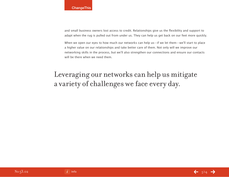and small business owners lost access to credit. Relationships give us the flexibility and support to adapt when the rug is pulled out from under us. They can help us get back on our feet more quickly.

When we open our eyes to how much our networks can help us—if we let them—we'll start to place a higher value on our relationships and take better care of them. Not only will we improve our networking skills in the process, but we'll also strengthen our connections and ensure our contacts will be there when we need them.

## Leveraging our networks can help us mitigate a variety of challenges we face every day.

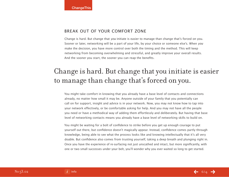## Break Out of Your Comfort Zone

Change is hard. But change that you initiate is easier to manage than change that's forced on you. Sooner or later, networking will be a part of your life, by your choice or someone else's. When you make the decision, you have more control over both the timing and the method. This will keep networking from becoming overwhelming and stressful, and greatly improve your overall results. And the sooner you start, the sooner you can reap the benefits.

## Change is hard. But change that you initiate is easier to manage than change that's forced on you.

You might take comfort in knowing that you already have a base level of contacts and connections already, no matter how small it may be. Anyone outside of your family that you potentially can call on for support, insight and advice is in your network. Now, you may not know how to tap into your network effectively, or be comfortable asking for help. And you may not have all the people you need or have a methodical way of adding them effortlessly and deliberately. But having that base level of networking contacts means you already have a base level of networking skills to build on.

You might be waiting for a bolt of confidence to strike before you get up enough courage to put yourself out there, but confidence doesn't magically appear. Instead, confidence comes partly through knowledge, being able to see what the process looks like and knowing intellectually that it's all very doable. But confidence also comes from trusting yourself, taking a deep breath and plunging right in. Once you have the experience of re-surfacing not just unscathed and intact, but more significantly, with one or two small successes under your belt, you'll wonder why you ever waited so long to get started.

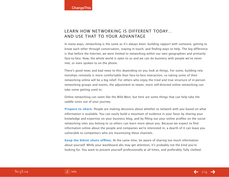## Learn How Networking is Different Today… AND USE THAT TO YOUR ADVANTAGE

In many ways, networking is the same as it's always been: building rapport with someone, getting to know each other through conversation, staying in touch, and finding ways to help. The big difference is that before the Internet, we were limited to networking within our own geographies and primarily face-to-face. Now, the whole world is open to us and we can do business with people we've never met, or even spoken to on the phone.

There's good news and bad news to this depending on you look at things. For some, building relationships remotely is more comfortable than face-to-face interaction, so taking some of their networking online will be a big relief. For others who enjoy the tried and true structure of in-person networking groups and events, the adjustment to newer, more self-directed online networking can take some getting used to.

Online networking can seem like the Wild West, but here are some things that can help take the saddle sores out of your journey:

**Prepare to share.** People are making decisions about whether to network with you based on what information is available. You can easily build a mountain of evidence in your favor by sharing your knowledge and expertise on your business blog, and by filling out your online profiles on the social networking sites you belong to so others can learn more about you. Because we expect to find information online about the people and companies we're interested in, a dearth of it can leave you vulnerable to competitors who are maximizing these channels.

**Keep the bikini shots offline.** At the same time, be aware of sharing too much information about yourself. While your washboard abs may get attention, it's probably not the kind you're looking for. You want to present yourself professionally at all times, and preferably, fully clothed.

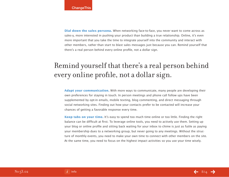**Dial down the sales persona.** When networking face-to-face, you never want to come across as sales-y, more interested in pushing your product than building a true relationship. Online, it's even more important that you take the time to integrate yourself into the community and interact with other members, rather than start to blast sales messages just because you can. Remind yourself that there's a real person behind every online profile, not a dollar sign.

## Remind yourself that there's a real person behind every online profile, not a dollar sign.

**Adapt your communication.** With more ways to communicate, many people are developing their own preferences for staying in touch. In person meetings and phone call follow ups have been supplemented by opt-in emails, mobile texting, blog commenting, and direct messaging through social networking sites. Finding out how your contacts prefer to be contacted will increase your chances of getting a favorable response every time.

**Keep tabs on your time.** It's easy to spend too much time online or too little. Finding the right balance can be difficult at first. To leverage online tools, you need to actively use them. Setting up your blog or online profile and sitting back waiting for your inbox to chime is just as futile as paying your membership dues to a networking group, but never going to any meetings. Without the structure of monthly events, you need to make your own time to connect with other members on the site. At the same time, you need to focus on the highest impact activities so you use your time wisely.

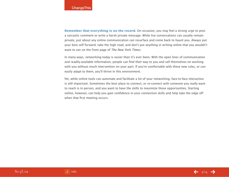**Remember that everything is on the record.** On occasion, you may feel a strong urge to post a sarcastic comment or write a harsh private message. While live conversations can usually remain private, just about any online communication can resurface and come back to haunt you. Always put your best self forward, take the high road, and don't put anything in writing online that you wouldn't want to see on the front page of The New York Times.

In many ways, networking today is easier than it's ever been. With the open lines of communication and readily-available information, people can find their way to you and sell themselves on working with you without much intervention on your part. If you're comfortable with these new rules, or can easily adapt to them, you'll thrive in this environment.

Yet, while online tools can automate and facilitate a lot of your networking, face-to-face interaction is still important. Sometimes the best place to connect, or re-connect with someone you really want to reach is in person, and you want to have the skills to maximize those opportunities. Starting online, however, can help you gain confidence in your connection skills and help take the edge off when that first meeting occurs.

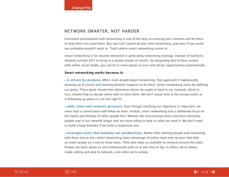### Network Smarter, Not Harder

Consistent participation with networking is one of the keys to ensuring your contacts will be there to help when you need them. But, you can't spend all your time networking, and even if you could, you probably wouldn't want to. That's where smart networking comes in.

Smart networking is for anyone interested in generating networking leverage. Instead of having to network actively 24/7 to bring in a steady stream of results, by integrating face-to-face contact with online social media, you can be in more places at once and attract opportunities automatically.

### **Smart networking works because it:**

**...is driven by purpose.** When most people begin networking, they approach it haphazardly, showing up at events and meeting whoever happens to be there. Smart networking starts by defining our goals. These goals should then determine whom we ought to have in our network, which in turn, should help us decide where best to meet them. We don't waste time at the wrong events or in following up when it's not the right fit.

**...adds value and removes pressure.** Even though clarifying our objectives is important, we never lead a conversation with what we want. Instead, smart networking puts a deliberate focus on the needs and feelings of other people first. Without the transactional churn and burn mentality, people stay in our network longer and are more wiling to help us when we need it. We don't need to build a huge Rolodex if we build a responsive one.

**...leverages tools that multiply our productivity.** Rather than meeting people and interacting with them one-to-one, smart networking takes advantage of online tools and services that help us reach people on a one-to-many basis. They also make us available to network around the clock. People can learn about us and communicate with us at any time of day. In effect, we're always ready, willing and able to network, even when we're asleep.

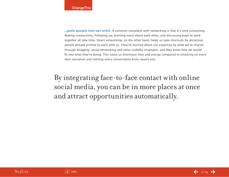**...pulls people into our orbit.** A common complaint with networking is that it's time consuming. Making connections, following up, learning more about each other, and discussing ways to work together all take time. Smart networking, on the other hand, helps us take shortcuts by attracting people already primed to work with us. They've learned about our expertise by what we've shared through blogging, social networking and other visibility strategies, and they know how we would fit into what they're doing. This saves us enormous time and energy compared to knocking on every door ourselves and starting every conversation from square one.

## By integrating face-to-face contact with online social media, you can be in more places at once and attract opportunities automatically.

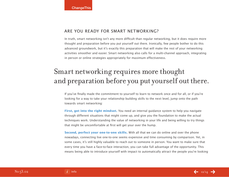### Are You Ready for Smart Networking?

In truth, smart networking isn't any more difficult than regular networking, but it does require more thought and preparation before you put yourself out there. Ironically, few people bother to do this advanced groundwork, but it's exactly this preparation that will make the rest of your networking activities smoother and easier. Smart networking also calls for a multi-channel approach, integrating in person or online strategies appropriately for maximum effectiveness.

## Smart networking requires more thought and preparation before you put yourself out there.

If you've finally made the commitment to yourself to learn to network once and for all, or if you're looking for a way to take your relationship building skills to the next level, jump onto the path towards smart networking:

**First, get into the right mindset.** You need an internal guidance system to help you navigate through different situations that might come up, and give you the foundation to make the actual techniques work. Understanding the value of networking in your life and being willing to try things that might be uncomfortable at first will get your over the hump.

**Second, perfect your one-to-one skills.** With all that we can do online and over the phone nowadays, connecting live one-to-one seems expensive and time consuming by comparison. Yet, in some cases, it's still highly valuable to reach out to someone in person. You want to make sure that every time you have a face-to-face interaction, you can take full advantage of the opportunity. This means being able to introduce yourself with impact to automatically attract the people you're looking

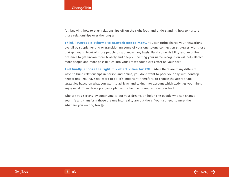for, knowing how to start relationships off on the right foot, and understanding how to nurture those relationships over the long term.

**Third, leverage platforms to network one-to-many.** You can turbo charge your networking overall by supplementing or transitioning some of your one-to-one connection strategies with those that get you in front of more people on a one-to-many basis. Build some visibility and an online presence to get known more broadly and deeply. Boosting your name recognition will help attract more people and more possibilities into your life without extra effort on your part.

And finally, choose the right mix of activities for YOU. While there are many different ways to build relationships in person and online, you don't want to pack your day with nonstop networking. You have real work to do. It's important, therefore, to choose the appropriate strategies based on what you want to achieve, and taking into account which activities you might enjoy most. Then develop a game plan and schedule to keep yourself on track

Who are you serving by continuing to put your dreams on hold? The people who can change your life and transform those dreams into reality are out there. You just need to meet them. What are you waiting for? **S**